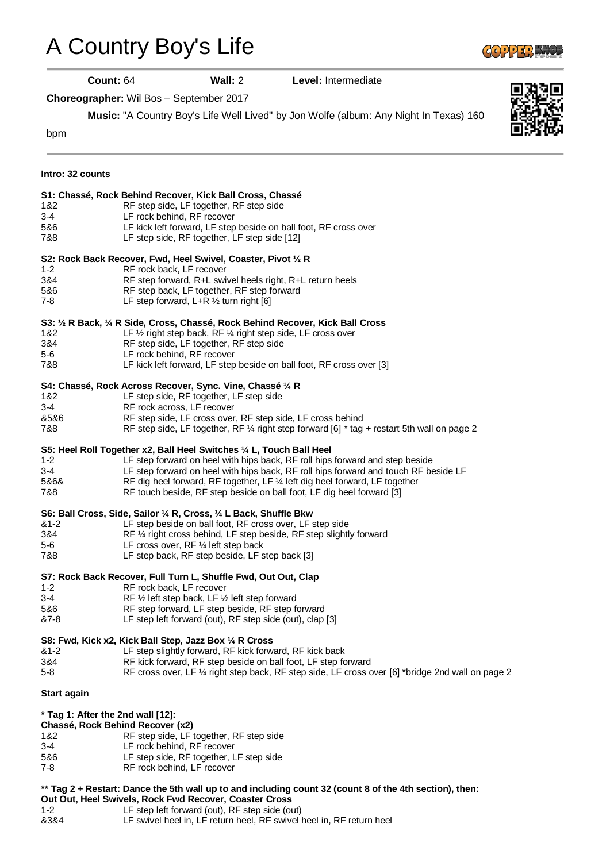## [A Country Boy's Life](http://www.copperknob.co.uk/stepsheets/a-country-boys-life-ID120721.aspx)



**Count:** 64 **Wall:** 2 **Level:** Intermediate

**Choreographer:** Wil Bos – September 2017

**Music:** "A Country Boy's Life Well Lived" by Jon Wolfe (album: Any Night In Texas) 160



| Intro: 32 counts                  |                                                                                                         |
|-----------------------------------|---------------------------------------------------------------------------------------------------------|
|                                   | S1: Chassé, Rock Behind Recover, Kick Ball Cross, Chassé                                                |
| 1&2                               | RF step side, LF together, RF step side                                                                 |
| $3 - 4$                           | LF rock behind, RF recover                                                                              |
| 5&6                               | LF kick left forward, LF step beside on ball foot, RF cross over                                        |
| 7&8                               | LF step side, RF together, LF step side [12]                                                            |
|                                   | S2: Rock Back Recover, Fwd, Heel Swivel, Coaster, Pivot 1/2 R                                           |
| $1 - 2$                           | RF rock back, LF recover                                                                                |
| 3&4                               | RF step forward, R+L swivel heels right, R+L return heels                                               |
| 5&6                               | RF step back, LF together, RF step forward                                                              |
| 7-8                               | LF step forward, $L+R \frac{1}{2}$ turn right [6]                                                       |
|                                   | S3: 1/2 R Back, 1/4 R Side, Cross, Chassé, Rock Behind Recover, Kick Ball Cross                         |
| 1&2                               | LF $\frac{1}{2}$ right step back, RF $\frac{1}{4}$ right step side, LF cross over                       |
| 3&4                               | RF step side, LF together, RF step side                                                                 |
| 5-6                               | LF rock behind, RF recover                                                                              |
| 7&8                               | LF kick left forward, LF step beside on ball foot, RF cross over [3]                                    |
|                                   | S4: Chassé, Rock Across Recover, Sync. Vine, Chassé 1/4 R                                               |
| 1&2                               | LF step side, RF together, LF step side                                                                 |
| $3 - 4$                           | RF rock across, LF recover                                                                              |
| &5&6                              | RF step side, LF cross over, RF step side, LF cross behind                                              |
| 7&8                               | RF step side, LF together, RF $\frac{1}{4}$ right step forward [6] $*$ tag + restart 5th wall on page 2 |
|                                   | S5: Heel Roll Together x2, Ball Heel Switches 1/4 L, Touch Ball Heel                                    |
| $1 - 2$                           | LF step forward on heel with hips back, RF roll hips forward and step beside                            |
| 3-4                               | LF step forward on heel with hips back, RF roll hips forward and touch RF beside LF                     |
| 5&6&                              | RF dig heel forward, RF together, LF 1/4 left dig heel forward, LF together                             |
| 7&8                               | RF touch beside, RF step beside on ball foot, LF dig heel forward [3]                                   |
|                                   | S6: Ball Cross, Side, Sailor 1/4 R, Cross, 1/4 L Back, Shuffle Bkw                                      |
| $81 - 2$                          | LF step beside on ball foot, RF cross over, LF step side                                                |
| 3&4                               | RF 1/4 right cross behind, LF step beside, RF step slightly forward                                     |
| $5-6$                             | LF cross over, $RF$ % left step back                                                                    |
| 7&8                               | LF step back, RF step beside, LF step back [3]                                                          |
|                                   | S7: Rock Back Recover, Full Turn L, Shuffle Fwd, Out Out, Clap                                          |
| $1 - 2$                           | RF rock back, LF recover                                                                                |
| $3 - 4$                           | RF $\frac{1}{2}$ left step back, LF $\frac{1}{2}$ left step forward                                     |
| 5&6                               | RF step forward, LF step beside, RF step forward                                                        |
| &7-8                              | LF step left forward (out), RF step side (out), clap [3]                                                |
|                                   | S8: Fwd, Kick x2, Kick Ball Step, Jazz Box 1/4 R Cross                                                  |
| $81 - 2$                          | LF step slightly forward, RF kick forward, RF kick back                                                 |
| 3&4                               | RF kick forward, RF step beside on ball foot, LF step forward                                           |
| $5 - 8$                           | RF cross over, LF 1/4 right step back, RF step side, LF cross over [6] *bridge 2nd wall on page 2       |
| <b>Start again</b>                |                                                                                                         |
| * Tag 1: After the 2nd wall [12]: |                                                                                                         |
|                                   | Chassé, Rock Behind Recover (x2)                                                                        |
| 1&2                               | RF step side, LF together, RF step side                                                                 |
| $3 - 4$                           | LF rock behind, RF recover                                                                              |
| 5&6                               | LF step side, RF together, LF step side                                                                 |
| $7 - 8$                           | RF rock behind, LF recover                                                                              |
|                                   |                                                                                                         |

## **\*\* Tag 2 + Restart: Dance the 5th wall up to and including count 32 (count 8 of the 4th section), then:**

**Out Out, Heel Swivels, Rock Fwd Recover, Coaster Cross**

- 1-2 LF step left forward (out), RF step side (out)
- &3&4 LF swivel heel in, LF return heel, RF swivel heel in, RF return heel